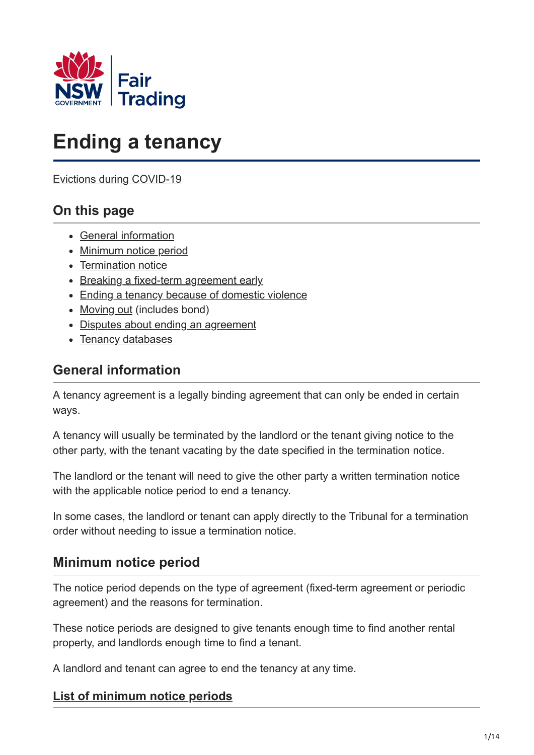

# **Ending a tenancy**

[Evictions during COVID-19](https://www.fairtrading.nsw.gov.au/resource-library/publications/coronavirus-covid-19/property/moratorium)

# **On this page**

- [General information](#page-0-0)
- [Minimum notice period](#page-0-1)
- [Termination notice](#page-2-0)
- [Breaking a fixed-term agreement early](#page-3-0)
- [Ending a tenancy because of domestic violence](#page-6-0)
- [Moving out](#page-7-0) (includes bond)
- [Disputes about ending an agreement](#page-12-0)
- [Tenancy databases](#page-12-1)

# <span id="page-0-0"></span>**General information**

A tenancy agreement is a legally binding agreement that can only be ended in certain ways.

A tenancy will usually be terminated by the landlord or the tenant giving notice to the other party, with the tenant vacating by the date specified in the termination notice.

The landlord or the tenant will need to give the other party a written termination notice with the applicable notice period to end a tenancy.

In some cases, the landlord or tenant can apply directly to the Tribunal for a termination order without needing to issue a termination notice.

## <span id="page-0-1"></span>**Minimum notice period**

The notice period depends on the type of agreement (fixed-term agreement or periodic agreement) and the reasons for termination.

These notice periods are designed to give tenants enough time to find another rental property, and landlords enough time to find a tenant.

A landlord and tenant can agree to end the tenancy at any time.

## **List of minimum notice periods**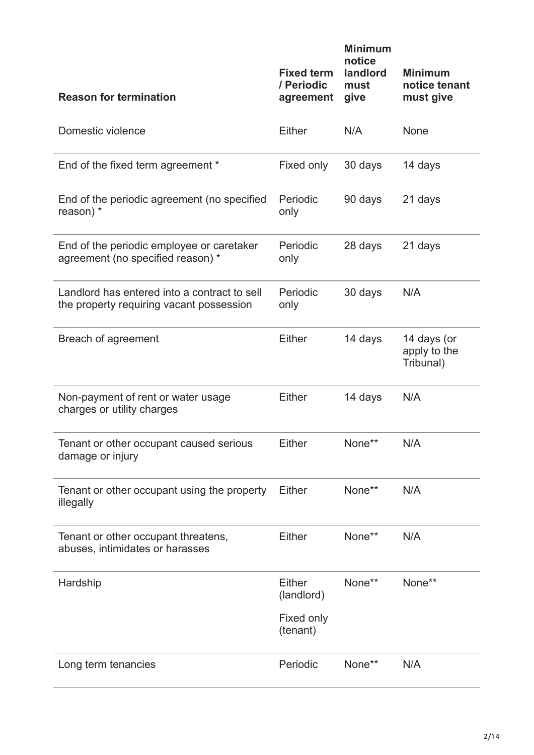| <b>Reason for termination</b>                                                            | <b>Fixed term</b><br>/ Periodic<br>agreement | <b>Minimum</b><br>notice<br>landlord<br>must<br>give | <b>Minimum</b><br>notice tenant<br>must give |
|------------------------------------------------------------------------------------------|----------------------------------------------|------------------------------------------------------|----------------------------------------------|
| Domestic violence                                                                        | Either                                       | N/A                                                  | None                                         |
| End of the fixed term agreement *                                                        | Fixed only                                   | 30 days                                              | 14 days                                      |
| End of the periodic agreement (no specified<br>reason) $*$                               | Periodic<br>only                             | 90 days                                              | 21 days                                      |
| End of the periodic employee or caretaker<br>agreement (no specified reason) *           | Periodic<br>only                             | 28 days                                              | 21 days                                      |
| Landlord has entered into a contract to sell<br>the property requiring vacant possession | Periodic<br>only                             | 30 days                                              | N/A                                          |
| Breach of agreement                                                                      | Either                                       | 14 days                                              | 14 days (or<br>apply to the<br>Tribunal)     |
| Non-payment of rent or water usage<br>charges or utility charges                         | Either                                       | 14 days                                              | N/A                                          |
| Tenant or other occupant caused serious<br>damage or injury                              | Either                                       | None**                                               | N/A                                          |
| Tenant or other occupant using the property<br>illegally                                 | Either                                       | None**                                               | N/A                                          |
| Tenant or other occupant threatens,<br>abuses, intimidates or harasses                   | <b>Either</b>                                | None**                                               | N/A                                          |
| Hardship                                                                                 | Either<br>(landlord)                         | None**                                               | None**                                       |
|                                                                                          | Fixed only<br>(tenant)                       |                                                      |                                              |
| Long term tenancies                                                                      | Periodic                                     | None**                                               | N/A                                          |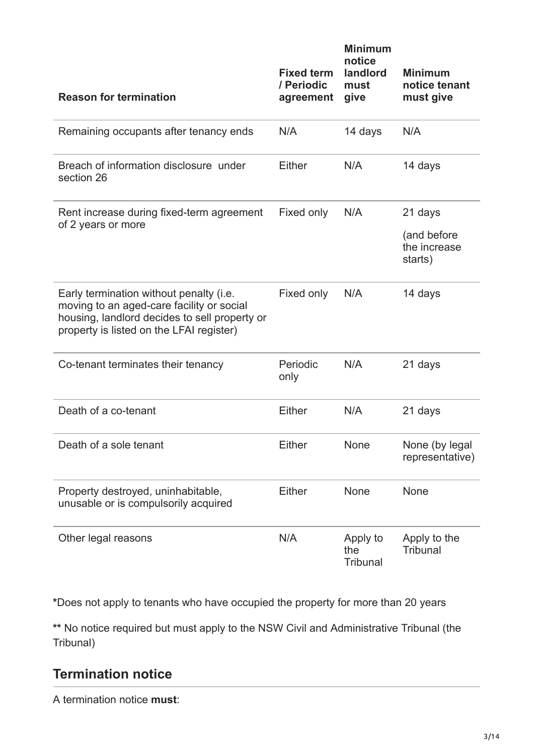| <b>Reason for termination</b>                                                                                                                                                     | <b>Fixed term</b><br>/ Periodic<br>agreement | <b>Minimum</b><br>notice<br>landlord<br>must<br>give | <b>Minimum</b><br>notice tenant<br>must give |
|-----------------------------------------------------------------------------------------------------------------------------------------------------------------------------------|----------------------------------------------|------------------------------------------------------|----------------------------------------------|
| Remaining occupants after tenancy ends                                                                                                                                            | N/A                                          | 14 days                                              | N/A                                          |
| Breach of information disclosure under<br>section 26                                                                                                                              | Either                                       | N/A                                                  | 14 days                                      |
| Rent increase during fixed-term agreement<br>of 2 years or more                                                                                                                   | Fixed only                                   | N/A                                                  | 21 days                                      |
|                                                                                                                                                                                   |                                              |                                                      | (and before<br>the increase<br>starts)       |
| Early termination without penalty (i.e.<br>moving to an aged-care facility or social<br>housing, landlord decides to sell property or<br>property is listed on the LFAI register) | Fixed only                                   | N/A                                                  | 14 days                                      |
| Co-tenant terminates their tenancy                                                                                                                                                | Periodic<br>only                             | N/A                                                  | 21 days                                      |
| Death of a co-tenant                                                                                                                                                              | Either                                       | N/A                                                  | 21 days                                      |
| Death of a sole tenant                                                                                                                                                            | <b>Either</b>                                | None                                                 | None (by legal<br>representative)            |
| Property destroyed, uninhabitable,<br>unusable or is compulsorily acquired                                                                                                        | <b>Either</b>                                | <b>None</b>                                          | None                                         |
| Other legal reasons                                                                                                                                                               | N/A                                          | Apply to<br>the<br>Tribunal                          | Apply to the<br><b>Tribunal</b>              |

**\***Does not apply to tenants who have occupied the property for more than 20 years

**\*\*** No notice required but must apply to the NSW Civil and Administrative Tribunal (the Tribunal)

# <span id="page-2-0"></span>**Termination notice**

A termination notice **must**: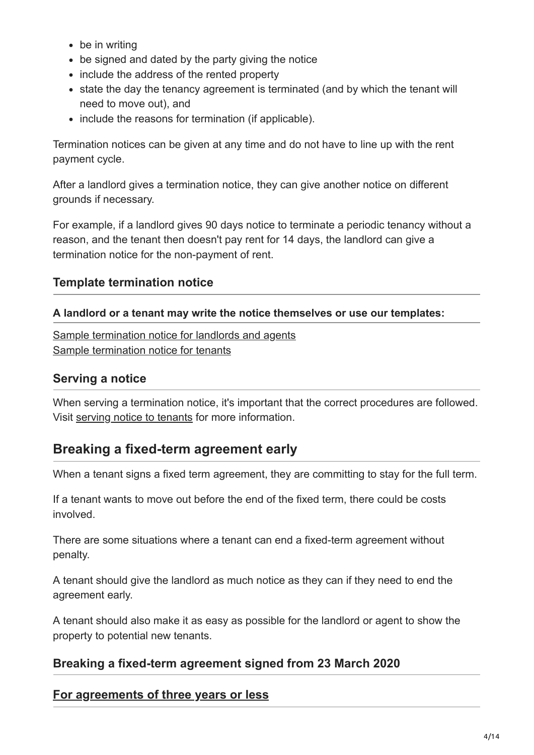- be in writing
- be signed and dated by the party giving the notice
- include the address of the rented property
- state the day the tenancy agreement is terminated (and by which the tenant will need to move out), and
- include the reasons for termination (if applicable).

Termination notices can be given at any time and do not have to line up with the rent payment cycle.

After a landlord gives a termination notice, they can give another notice on different grounds if necessary.

For example, if a landlord gives 90 days notice to terminate a periodic tenancy without a reason, and the tenant then doesn't pay rent for 14 days, the landlord can give a termination notice for the non-payment of rent.

#### **Template termination notice**

#### **A landlord or a tenant may write the notice themselves or use our templates:**

[Sample termination notice for landlords and agents](https://www.fairtrading.nsw.gov.au/__data/assets/pdf_file/0006/369978/Notice-to-terminate-tenancy-agreement-by-landlord-or-agent.pdf.pdf) [Sample termination notice for tenants](https://www.fairtrading.nsw.gov.au/__data/assets/pdf_file/0007/369979/Notice-to-terminate-tenancy-agreement-by-tenants.pdf)

#### **Serving a notice**

When serving a termination notice, it's important that the correct procedures are followed. Visit [serving notice to tenants](https://www.fairtrading.nsw.gov.au/housing-and-property/renting/during-a-tenancy/serving-notice-to-tenants) for more information.

# <span id="page-3-0"></span>**Breaking a fixed-term agreement early**

When a tenant signs a fixed term agreement, they are committing to stay for the full term.

If a tenant wants to move out before the end of the fixed term, there could be costs involved.

There are some situations where a tenant can end a fixed-term agreement without penalty.

A tenant should give the landlord as much notice as they can if they need to end the agreement early.

A tenant should also make it as easy as possible for the landlord or agent to show the property to potential new tenants.

## **Breaking a fixed-term agreement signed from 23 March 2020**

#### **For agreements of three years or less**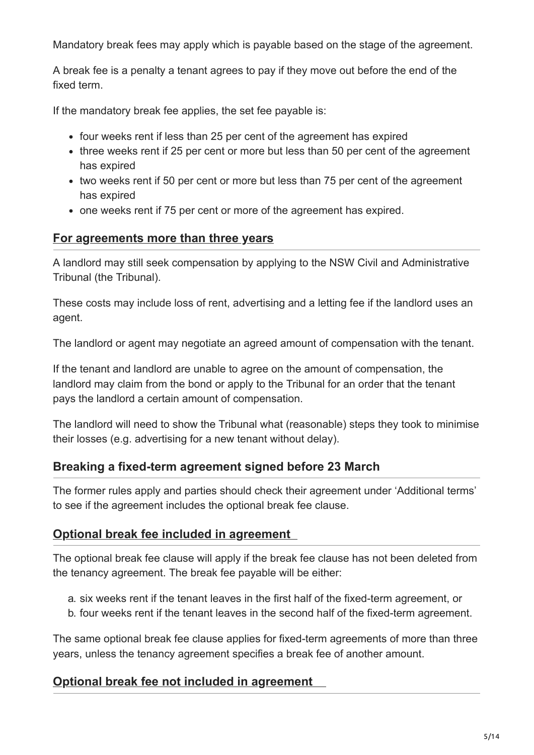Mandatory break fees may apply which is payable based on the stage of the agreement.

A break fee is a penalty a tenant agrees to pay if they move out before the end of the fixed term.

If the mandatory break fee applies, the set fee payable is:

- four weeks rent if less than 25 per cent of the agreement has expired
- three weeks rent if 25 per cent or more but less than 50 per cent of the agreement has expired
- two weeks rent if 50 per cent or more but less than 75 per cent of the agreement has expired
- one weeks rent if 75 per cent or more of the agreement has expired.

## **For agreements more than three years**

A landlord may still seek compensation by applying to the NSW Civil and Administrative Tribunal (the Tribunal).

These costs may include loss of rent, advertising and a letting fee if the landlord uses an agent.

The landlord or agent may negotiate an agreed amount of compensation with the tenant.

If the tenant and landlord are unable to agree on the amount of compensation, the landlord may claim from the bond or apply to the Tribunal for an order that the tenant pays the landlord a certain amount of compensation.

The landlord will need to show the Tribunal what (reasonable) steps they took to minimise their losses (e.g. advertising for a new tenant without delay).

## **Breaking a fixed-term agreement signed before 23 March**

The former rules apply and parties should check their agreement under 'Additional terms' to see if the agreement includes the optional break fee clause.

## **Optional break fee included in agreement**

The optional break fee clause will apply if the break fee clause has not been deleted from the tenancy agreement. The break fee payable will be either:

- a. six weeks rent if the tenant leaves in the first half of the fixed-term agreement, or
- b. four weeks rent if the tenant leaves in the second half of the fixed-term agreement.

The same optional break fee clause applies for fixed-term agreements of more than three years, unless the tenancy agreement specifies a break fee of another amount.

## **Optional break fee not included in agreement**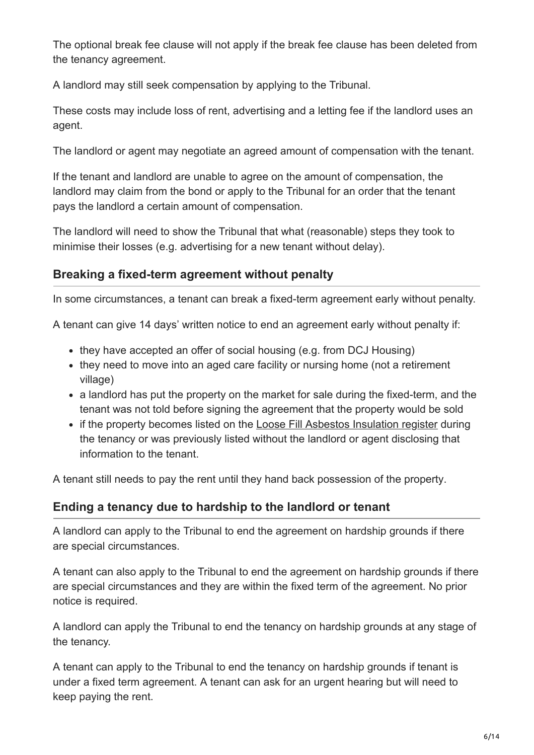The optional break fee clause will not apply if the break fee clause has been deleted from the tenancy agreement.

A landlord may still seek compensation by applying to the Tribunal.

These costs may include loss of rent, advertising and a letting fee if the landlord uses an agent.

The landlord or agent may negotiate an agreed amount of compensation with the tenant.

If the tenant and landlord are unable to agree on the amount of compensation, the landlord may claim from the bond or apply to the Tribunal for an order that the tenant pays the landlord a certain amount of compensation.

The landlord will need to show the Tribunal that what (reasonable) steps they took to minimise their losses (e.g. advertising for a new tenant without delay).

## **Breaking a fixed-term agreement without penalty**

In some circumstances, a tenant can break a fixed-term agreement early without penalty.

A tenant can give 14 days' written notice to end an agreement early without penalty if:

- they have accepted an offer of social housing (e.g. from DCJ Housing)
- they need to move into an aged care facility or nursing home (not a retirement village)
- a landlord has put the property on the market for sale during the fixed-term, and the tenant was not told before signing the agreement that the property would be sold
- if the property becomes listed on the [Loose Fill Asbestos Insulation register](https://www.fairtrading.nsw.gov.au/loose-fill-asbestos-insulation-register) during the tenancy or was previously listed without the landlord or agent disclosing that information to the tenant.

A tenant still needs to pay the rent until they hand back possession of the property.

## **Ending a tenancy due to hardship to the landlord or tenant**

A landlord can apply to the Tribunal to end the agreement on hardship grounds if there are special circumstances.

A tenant can also apply to the Tribunal to end the agreement on hardship grounds if there are special circumstances and they are within the fixed term of the agreement. No prior notice is required.

A landlord can apply the Tribunal to end the tenancy on hardship grounds at any stage of the tenancy.

A tenant can apply to the Tribunal to end the tenancy on hardship grounds if tenant is under a fixed term agreement. A tenant can ask for an urgent hearing but will need to keep paying the rent.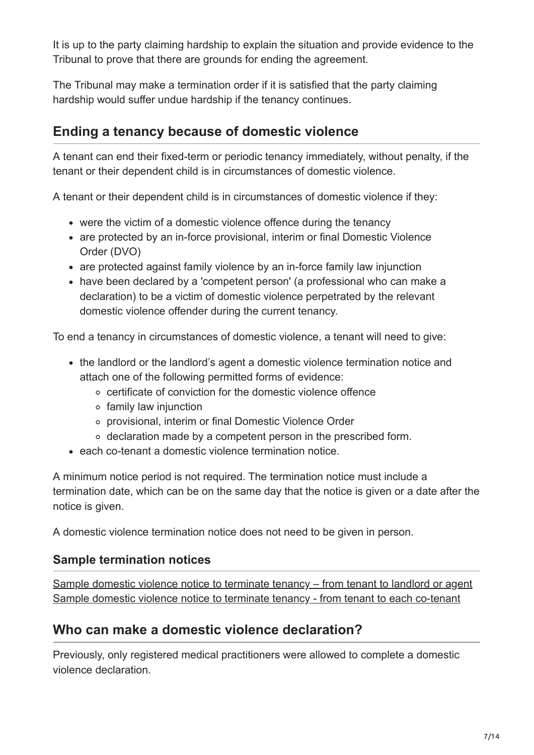It is up to the party claiming hardship to explain the situation and provide evidence to the Tribunal to prove that there are grounds for ending the agreement.

<span id="page-6-0"></span>The Tribunal may make a termination order if it is satisfied that the party claiming hardship would suffer undue hardship if the tenancy continues.

# **Ending a tenancy because of domestic violence**

A tenant can end their fixed-term or periodic tenancy immediately, without penalty, if the tenant or their dependent child is in circumstances of domestic violence.

A tenant or their dependent child is in circumstances of domestic violence if they:

- were the victim of a domestic violence offence during the tenancy
- are protected by an in-force provisional, interim or final Domestic Violence Order (DVO)
- are protected against family violence by an in-force family law injunction
- have been declared by a 'competent person' (a professional who can make a declaration) to be a victim of domestic violence perpetrated by the relevant domestic violence offender during the current tenancy.

To end a tenancy in circumstances of domestic violence, a tenant will need to give:

- the landlord or the landlord's agent a domestic violence termination notice and attach one of the following permitted forms of evidence:
	- certificate of conviction for the domestic violence offence
	- $\circ$  family law injunction
	- provisional, interim or final Domestic Violence Order
	- declaration made by a competent person in the prescribed form.
- each co-tenant a domestic violence termination notice.

A minimum notice period is not required. The termination notice must include a termination date, which can be on the same day that the notice is given or a date after the notice is given.

A domestic violence termination notice does not need to be given in person.

## **Sample termination notices**

[Sample domestic violence notice to terminate tenancy – from tenant to landlord or agent](https://www.fairtrading.nsw.gov.au/__data/assets/word_doc/0011/457247/Sample-domestic-violence-notice-to-terminate-tenancy-agreement-to-landlord.docx) [Sample domestic violence notice to terminate tenancy - from tenant to each co-tenant](https://www.fairtrading.nsw.gov.au/__data/assets/word_doc/0008/457244/Sample-domestic-violence-notice-to-terminate-tenancy-agreement-to-co-tenant.docx)

# **Who can make a domestic violence declaration?**

Previously, only registered medical practitioners were allowed to complete a domestic violence declaration.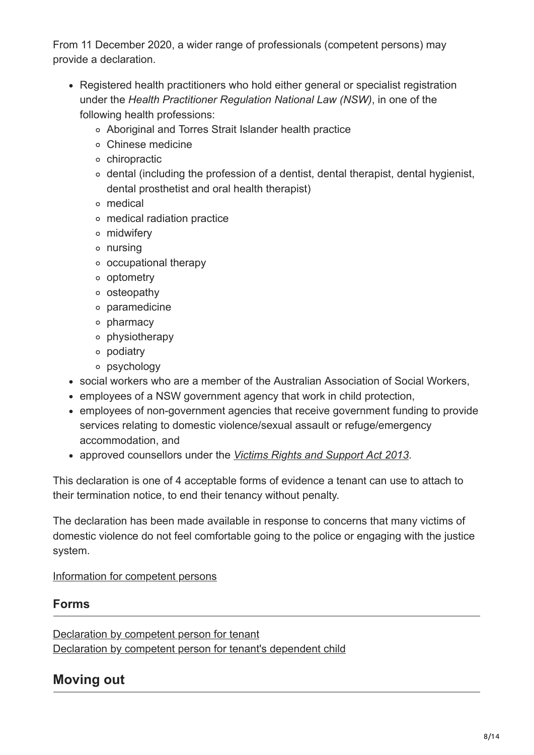From 11 December 2020, a wider range of professionals (competent persons) may provide a declaration.

- Registered health practitioners who hold either general or specialist registration under the *Health Practitioner Regulation National Law (NSW)*, in one of the following health professions:
	- Aboriginal and Torres Strait Islander health practice
	- Chinese medicine
	- o chiropractic
	- $\circ$  dental (including the profession of a dentist, dental therapist, dental hygienist, dental prosthetist and oral health therapist)
	- medical
	- medical radiation practice
	- midwifery
	- nursing
	- occupational therapy
	- o optometry
	- osteopathy
	- paramedicine
	- o pharmacy
	- physiotherapy
	- podiatry
	- psychology
- social workers who are a member of the Australian Association of Social Workers,
- employees of a NSW government agency that work in child protection,
- employees of non-government agencies that receive government funding to provide services relating to domestic violence/sexual assault or refuge/emergency accommodation, and
- approved counsellors under the *[Victims Rights and Support Act 2013](https://legislation.nsw.gov.au/view/html/inforce/current/act-2013-037)*.

This declaration is one of 4 acceptable forms of evidence a tenant can use to attach to their termination notice, to end their tenancy without penalty.

The declaration has been made available in response to concerns that many victims of domestic violence do not feel comfortable going to the police or engaging with the justice system.

#### [Information for competent persons](https://www.fairtrading.nsw.gov.au/housing-and-property/renting/professionals-who-can-make-a-declaration)

#### **Forms**

[Declaration by competent person for tenant](https://www.fairtrading.nsw.gov.au/__data/assets/pdf_file/0003/608385/Declaration-by-competent-person-for-tenant.pdf) [Declaration by competent person for tenant's dependent child](https://www.fairtrading.nsw.gov.au/__data/assets/pdf_file/0004/608386/Declaration-by-competent-person-for-tenants-dependent-child.pdf)

# <span id="page-7-0"></span>**Moving out**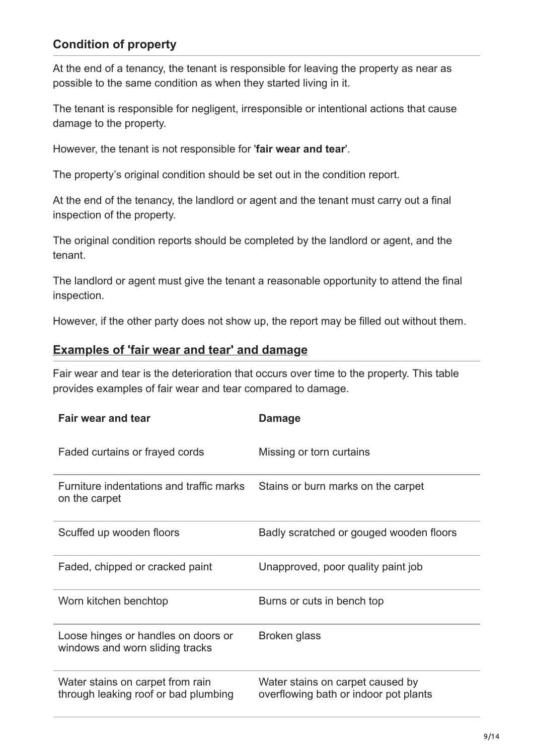## **Condition of property**

At the end of a tenancy, the tenant is responsible for leaving the property as near as possible to the same condition as when they started living in it.

The tenant is responsible for negligent, irresponsible or intentional actions that cause damage to the property.

However, the tenant is not responsible for '**fair wear and tear**'.

The property's original condition should be set out in the condition report.

At the end of the tenancy, the landlord or agent and the tenant must carry out a final inspection of the property.

The original condition reports should be completed by the landlord or agent, and the tenant.

The landlord or agent must give the tenant a reasonable opportunity to attend the final inspection.

However, if the other party does not show up, the report may be filled out without them.

#### **Examples of 'fair wear and tear' and damage**

Fair wear and tear is the deterioration that occurs over time to the property. This table provides examples of fair wear and tear compared to damage.

| Fair wear and tear                                                       | <b>Damage</b>                                                             |
|--------------------------------------------------------------------------|---------------------------------------------------------------------------|
| Faded curtains or frayed cords                                           | Missing or torn curtains                                                  |
| Furniture indentations and traffic marks<br>on the carpet                | Stains or burn marks on the carpet                                        |
| Scuffed up wooden floors                                                 | Badly scratched or gouged wooden floors                                   |
| Faded, chipped or cracked paint                                          | Unapproved, poor quality paint job                                        |
| Worn kitchen benchtop                                                    | Burns or cuts in bench top                                                |
| Loose hinges or handles on doors or<br>windows and worn sliding tracks   | Broken glass                                                              |
| Water stains on carpet from rain<br>through leaking roof or bad plumbing | Water stains on carpet caused by<br>overflowing bath or indoor pot plants |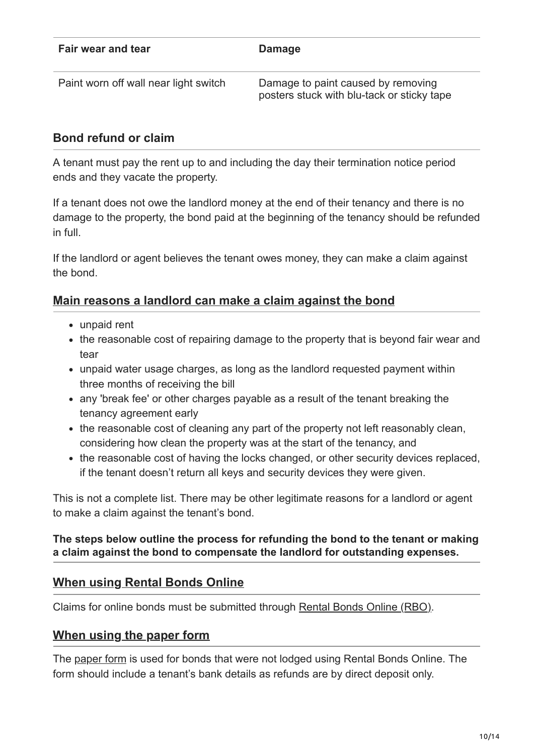| Fair wear and tear                    | Damage                                                                           |
|---------------------------------------|----------------------------------------------------------------------------------|
| Paint worn off wall near light switch | Damage to paint caused by removing<br>posters stuck with blu-tack or sticky tape |

## **Bond refund or claim**

A tenant must pay the rent up to and including the day their termination notice period ends and they vacate the property.

If a tenant does not owe the landlord money at the end of their tenancy and there is no damage to the property, the bond paid at the beginning of the tenancy should be refunded in full.

If the landlord or agent believes the tenant owes money, they can make a claim against the bond.

## **Main reasons a landlord can make a claim against the bond**

- unpaid rent
- the reasonable cost of repairing damage to the property that is beyond fair wear and tear
- unpaid water usage charges, as long as the landlord requested payment within three months of receiving the bill
- any 'break fee' or other charges payable as a result of the tenant breaking the tenancy agreement early
- the reasonable cost of cleaning any part of the property not left reasonably clean, considering how clean the property was at the start of the tenancy, and
- the reasonable cost of having the locks changed, or other security devices replaced, if the tenant doesn't return all keys and security devices they were given.

This is not a complete list. There may be other legitimate reasons for a landlord or agent to make a claim against the tenant's bond.

#### **The steps below outline the process for refunding the bond to the tenant or making a claim against the bond to compensate the landlord for outstanding expenses.**

## **When using Rental Bonds Online**

Claims for online bonds must be submitted through [Rental Bonds Online \(RBO\).](https://www.fairtrading.nsw.gov.au/housing-and-property/renting/rental-bonds-online)

## **When using the paper form**

The [paper form](https://www.fairtrading.nsw.gov.au/__data/assets/pdf_file/0009/367749/Claim-for-Bond-Refund-form.pdf) is used for bonds that were not lodged using Rental Bonds Online. The form should include a tenant's bank details as refunds are by direct deposit only.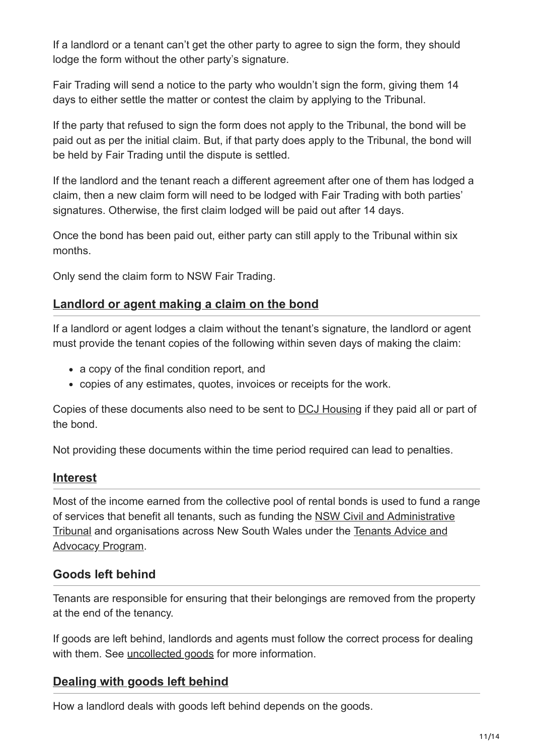If a landlord or a tenant can't get the other party to agree to sign the form, they should lodge the form without the other party's signature.

Fair Trading will send a notice to the party who wouldn't sign the form, giving them 14 days to either settle the matter or contest the claim by applying to the Tribunal.

If the party that refused to sign the form does not apply to the Tribunal, the bond will be paid out as per the initial claim. But, if that party does apply to the Tribunal, the bond will be held by Fair Trading until the dispute is settled.

If the landlord and the tenant reach a different agreement after one of them has lodged a claim, then a new claim form will need to be lodged with Fair Trading with both parties' signatures. Otherwise, the first claim lodged will be paid out after 14 days.

Once the bond has been paid out, either party can still apply to the Tribunal within six months.

Only send the claim form to NSW Fair Trading.

#### **Landlord or agent making a claim on the bond**

If a landlord or agent lodges a claim without the tenant's signature, the landlord or agent must provide the tenant copies of the following within seven days of making the claim:

- a copy of the final condition report, and
- copies of any estimates, quotes, invoices or receipts for the work.

Copies of these documents also need to be sent to [DCJ Housing](https://www.facs.nsw.gov.au/about/careers/join-our-housing-services-team/about-dcj-housing) if they paid all or part of the bond.

Not providing these documents within the time period required can lead to penalties.

#### **Interest**

Most of the income earned from the collective pool of rental bonds is used to fund a range [of services that benefit all tenants, such as funding the NSW Civil and Administrative](https://www.ncat.nsw.gov.au/) [Tribunal and organisations across New South Wales under the Tenants Advice and](https://www.fairtrading.nsw.gov.au/about-fair-trading/our-services/grants/tenants-advice-and-advocacy-program) Advocacy Program.

#### **Goods left behind**

Tenants are responsible for ensuring that their belongings are removed from the property at the end of the tenancy.

If goods are left behind, landlords and agents must follow the correct process for dealing with them. See [uncollected goods](https://www.fairtrading.nsw.gov.au/trades-and-businesses/business-essentials/selling-goods-and-services/uncollected-goods#:~:text=What%20are%20uncollected%20goods%3F,left%20with%20or%20without%20payment.) for more information.

## **[Dealing with goods left behind](https://www.fairtrading.nsw.gov.au/housing-and-property/renting/ending-a-tenancy)**

How a landlord deals with goods left behind depends on the goods.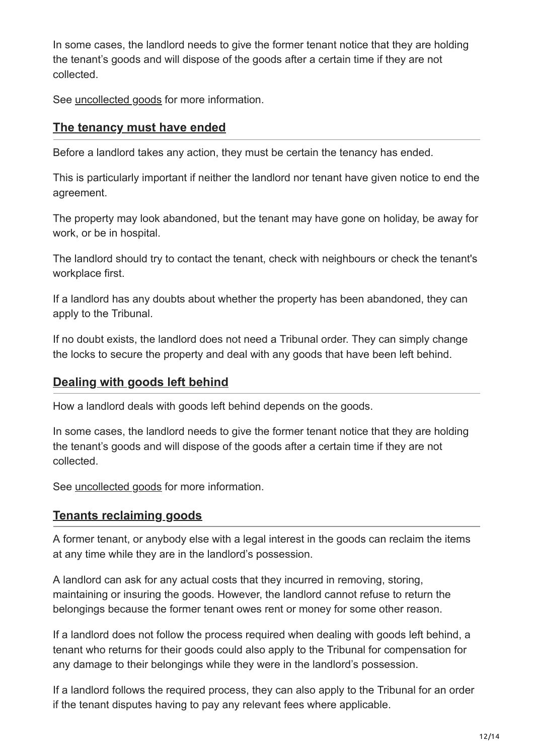In some cases, the landlord needs to give the former tenant notice that they are holding the tenant's goods and will dispose of the goods after a certain time if they are not collected.

See **uncollected goods** for more information.

#### **The tenancy must have ended**

Before a landlord takes any action, they must be certain the tenancy has ended.

This is particularly important if neither the landlord nor tenant have given notice to end the agreement.

The property may look abandoned, but the tenant may have gone on holiday, be away for work, or be in hospital.

The landlord should try to contact the tenant, check with neighbours or check the tenant's workplace first.

If a landlord has any doubts about whether the property has been abandoned, they can apply to the Tribunal.

If no doubt exists, the landlord does not need a Tribunal order. They can simply change the locks to secure the property and deal with any goods that have been left behind.

#### **Dealing with goods left behind**

How a landlord deals with goods left behind depends on the goods.

In some cases, the landlord needs to give the former tenant notice that they are holding the tenant's goods and will dispose of the goods after a certain time if they are not collected.

See [uncollected goods](https://www.fairtrading.nsw.gov.au/trades-and-businesses/business-essentials/selling-goods-and-services/uncollected-goods#:~:text=What%20are%20uncollected%20goods%3F,left%20with%20or%20without%20payment.) for more information.

#### **Tenants reclaiming goods**

A former tenant, or anybody else with a legal interest in the goods can reclaim the items at any time while they are in the landlord's possession.

A landlord can ask for any actual costs that they incurred in removing, storing, maintaining or insuring the goods. However, the landlord cannot refuse to return the belongings because the former tenant owes rent or money for some other reason.

If a landlord does not follow the process required when dealing with goods left behind, a tenant who returns for their goods could also apply to the Tribunal for compensation for any damage to their belongings while they were in the landlord's possession.

If a landlord follows the required process, they can also apply to the Tribunal for an order if the tenant disputes having to pay any relevant fees where applicable.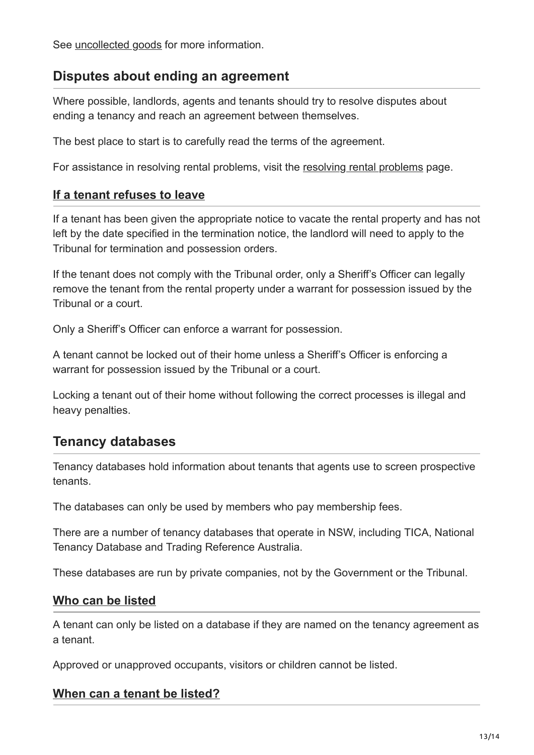See [uncollected goods](https://www.fairtrading.nsw.gov.au/trades-and-businesses/business-essentials/selling-goods-and-services/uncollected-goods#:~:text=What%20are%20uncollected%20goods%3F,left%20with%20or%20without%20payment.) for more information.

## <span id="page-12-0"></span>**Disputes about ending an agreement**

Where possible, landlords, agents and tenants should try to resolve disputes about ending a tenancy and reach an agreement between themselves.

The best place to start is to carefully read the terms of the agreement.

For assistance in resolving rental problems, visit the [resolving rental problems](https://www.fairtrading.nsw.gov.au/housing-and-property/renting/resolving-rental-problems/_nocache) page.

#### **If a tenant refuses to leave**

If a tenant has been given the appropriate notice to vacate the rental property and has not left by the date specified in the termination notice, the landlord will need to apply to the Tribunal for termination and possession orders.

If the tenant does not comply with the Tribunal order, only a Sheriff's Officer can legally remove the tenant from the rental property under a warrant for possession issued by the Tribunal or a court.

Only a Sheriff's Officer can enforce a warrant for possession.

A tenant cannot be locked out of their home unless a Sheriff's Officer is enforcing a warrant for possession issued by the Tribunal or a court.

Locking a tenant out of their home without following the correct processes is illegal and heavy penalties.

## <span id="page-12-1"></span>**Tenancy databases**

Tenancy databases hold information about tenants that agents use to screen prospective tenants.

The databases can only be used by members who pay membership fees.

There are a number of tenancy databases that operate in NSW, including TICA, National Tenancy Database and Trading Reference Australia.

These databases are run by private companies, not by the Government or the Tribunal.

#### **Who can be listed**

A tenant can only be listed on a database if they are named on the tenancy agreement as a tenant.

Approved or unapproved occupants, visitors or children cannot be listed.

#### **When can a tenant be listed?**